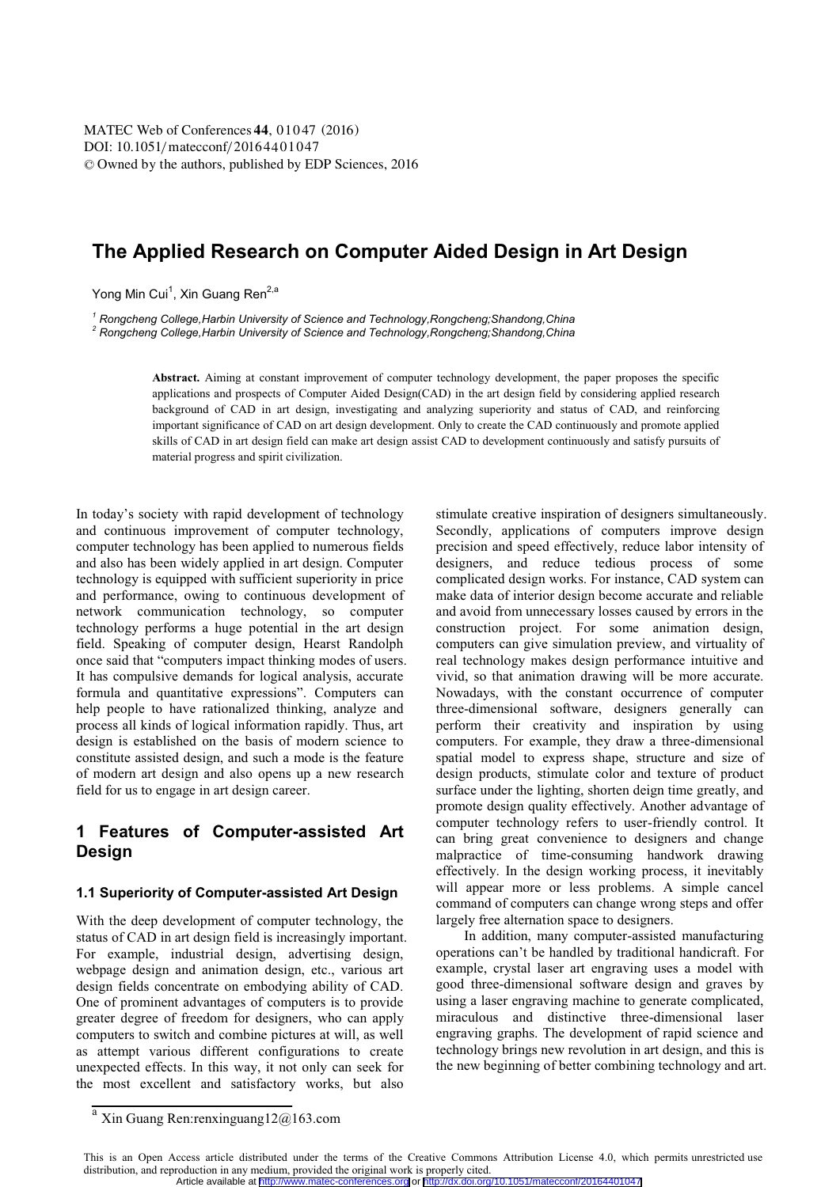# **The Applied Research on Computer Aided Design in Art Design**

Yong Min Cui, Xin Guang Ren<sup>27</sup>

<sup>1</sup> Rongcheng College, Harbin University of Science and Technology, Rongcheng; Shandong, China

<sup>2</sup> Rongcheng College, Harbin University of Science and Technology, Rongcheng; Shandong, China

**Abstract.** Aiming at constant improvement of computer technology development, the paper proposes the specific applications and prospects of Computer Aided Design(CAD) in the art design field by considering applied research background of CAD in art design, investigating and analyzing superiority and status of CAD, and reinforcing important significance of CAD on art design development. Only to create the CAD continuously and promote applied skills of CAD in art design field can make art design assist CAD to development continuously and satisfy pursuits of material progress and spirit civilization.

In today's society with rapid development of technology and continuous improvement of computer technology, computer technology has been applied to numerous fields and also has been widely applied in art design. Computer technology is equipped with sufficient superiority in price and performance, owing to continuous development of network communication technology, so computer technology performs a huge potential in the art design field. Speaking of computer design, Hearst Randolph once said that "computers impact thinking modes of users. It has compulsive demands for logical analysis, accurate formula and quantitative expressions". Computers can help people to have rationalized thinking, analyze and process all kinds of logical information rapidly. Thus, art design is established on the basis of modern science to constitute assisted design, and such a mode is the feature of modern art design and also opens up a new research field for us to engage in art design career.

### **1 Features of Computer-assisted Art Design**

#### **1.1 Superiority of Computer-assisted Art Design**

With the deep development of computer technology, the status of CAD in art design field is increasingly important. For example, industrial design, advertising design, webpage design and animation design, etc., various art design fields concentrate on embodying ability of CAD. One of prominent advantages of computers is to provide greater degree of freedom for designers, who can apply computers to switch and combine pictures at will, as well as attempt various different configurations to create unexpected effects. In this way, it not only can seek for the most excellent and satisfactory works, but also

stimulate creative inspiration of designers simultaneously. Secondly, applications of computers improve design precision and speed effectively, reduce labor intensity of designers, and reduce tedious process of some complicated design works. For instance, CAD system can make data of interior design become accurate and reliable and avoid from unnecessary losses caused by errors in the construction project. For some animation design, computers can give simulation preview, and virtuality of real technology makes design performance intuitive and vivid, so that animation drawing will be more accurate. Nowadays, with the constant occurrence of computer three-dimensional software, designers generally can perform their creativity and inspiration by using computers. For example, they draw a three-dimensional spatial model to express shape, structure and size of design products, stimulate color and texture of product surface under the lighting, shorten deign time greatly, and promote design quality effectively. Another advantage of computer technology refers to user-friendly control. It can bring great convenience to designers and change malpractice of time-consuming handwork drawing effectively. In the design working process, it inevitably will appear more or less problems. A simple cancel command of computers can change wrong steps and offer largely free alternation space to designers.

In addition, many computer-assisted manufacturing operations can't be handled by traditional handicraft. For example, crystal laser art engraving uses a model with good three-dimensional software design and graves by using a laser engraving machine to generate complicated, miraculous and distinctive three-dimensional laser engraving graphs. The development of rapid science and technology brings new revolution in art design, and this is the new beginning of better combining technology and art.

<sup>&</sup>lt;sup>a</sup> Xin Guang Ren:renxinguang12@163.com

This is an Open Access article distributed under the terms of the Creative Commons Attribution License 4.0, which permits unrestricted use distribution, and reproduction in any medium, provided the original work is properly cited. Article available at <http://www.matec-conferences.org> or <http://dx.doi.org/10.1051/matecconf/20164401047>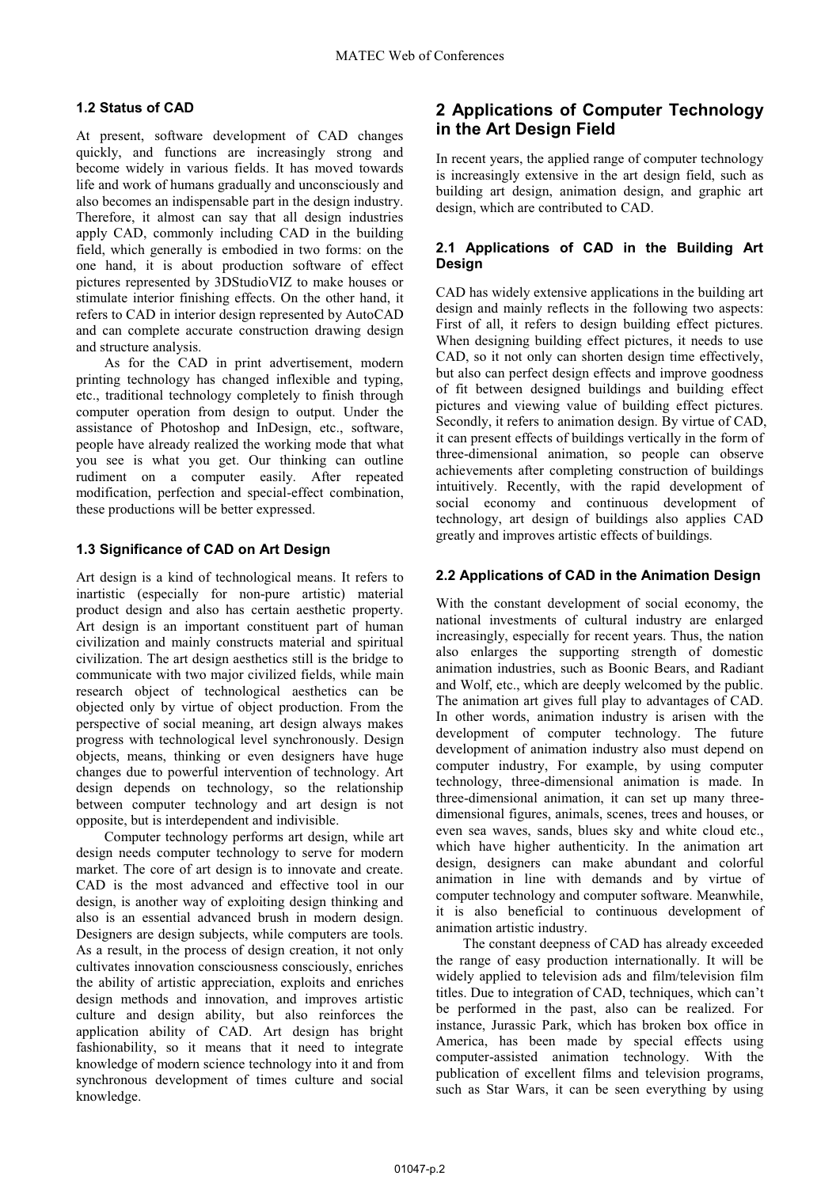#### **1.2 Status of CAD**

At present, software development of CAD changes quickly, and functions are increasingly strong and become widely in various fields. It has moved towards life and work of humans gradually and unconsciously and also becomes an indispensable part in the design industry. Therefore, it almost can say that all design industries apply CAD, commonly including CAD in the building field, which generally is embodied in two forms: on the one hand, it is about production software of effect pictures represented by 3DStudioVIZ to make houses or stimulate interior finishing effects. On the other hand, it refers to CAD in interior design represented by AutoCAD and can complete accurate construction drawing design and structure analysis.

As for the CAD in print advertisement, modern printing technology has changed inflexible and typing, etc., traditional technology completely to finish through computer operation from design to output. Under the assistance of Photoshop and InDesign, etc., software, people have already realized the working mode that what you see is what you get. Our thinking can outline rudiment on a computer easily. After repeated modification, perfection and special-effect combination, these productions will be better expressed.

#### **1.3 Significance of CAD on Art Design**

Art design is a kind of technological means. It refers to inartistic (especially for non-pure artistic) material product design and also has certain aesthetic property. Art design is an important constituent part of human civilization and mainly constructs material and spiritual civilization. The art design aesthetics still is the bridge to communicate with two major civilized fields, while main research object of technological aesthetics can be objected only by virtue of object production. From the perspective of social meaning, art design always makes progress with technological level synchronously. Design objects, means, thinking or even designers have huge changes due to powerful intervention of technology. Art design depends on technology, so the relationship between computer technology and art design is not opposite, but is interdependent and indivisible.

Computer technology performs art design, while art design needs computer technology to serve for modern market. The core of art design is to innovate and create. CAD is the most advanced and effective tool in our design, is another way of exploiting design thinking and also is an essential advanced brush in modern design. Designers are design subjects, while computers are tools. As a result, in the process of design creation, it not only cultivates innovation consciousness consciously, enriches the ability of artistic appreciation, exploits and enriches design methods and innovation, and improves artistic culture and design ability, but also reinforces the application ability of CAD. Art design has bright fashionability, so it means that it need to integrate knowledge of modern science technology into it and from synchronous development of times culture and social knowledge.

## **2 Applications of Computer Technology in the Art Design Field**

In recent years, the applied range of computer technology is increasingly extensive in the art design field, such as building art design, animation design, and graphic art design, which are contributed to CAD.

### **2.1 Applications of CAD in the Building Art Design**

CAD has widely extensive applications in the building art design and mainly reflects in the following two aspects: First of all, it refers to design building effect pictures. When designing building effect pictures, it needs to use CAD, so it not only can shorten design time effectively, but also can perfect design effects and improve goodness of fit between designed buildings and building effect pictures and viewing value of building effect pictures. Secondly, it refers to animation design. By virtue of CAD, it can present effects of buildings vertically in the form of three-dimensional animation, so people can observe achievements after completing construction of buildings intuitively. Recently, with the rapid development of social economy and continuous development of technology, art design of buildings also applies CAD greatly and improves artistic effects of buildings.

#### **2.2 Applications of CAD in the Animation Design**

With the constant development of social economy, the national investments of cultural industry are enlarged increasingly, especially for recent years. Thus, the nation also enlarges the supporting strength of domestic animation industries, such as Boonic Bears, and Radiant and Wolf, etc., which are deeply welcomed by the public. The animation art gives full play to advantages of CAD. In other words, animation industry is arisen with the development of computer technology. The future development of animation industry also must depend on computer industry, For example, by using computer technology, three-dimensional animation is made. In three-dimensional animation, it can set up many threedimensional figures, animals, scenes, trees and houses, or even sea waves, sands, blues sky and white cloud etc., which have higher authenticity. In the animation art design, designers can make abundant and colorful animation in line with demands and by virtue of computer technology and computer software. Meanwhile, it is also beneficial to continuous development of animation artistic industry.

The constant deepness of CAD has already exceeded the range of easy production internationally. It will be widely applied to television ads and film/television film titles. Due to integration of CAD, techniques, which can't be performed in the past, also can be realized. For instance, Jurassic Park, which has broken box office in America, has been made by special effects using computer-assisted animation technology. With the publication of excellent films and television programs, such as Star Wars, it can be seen everything by using